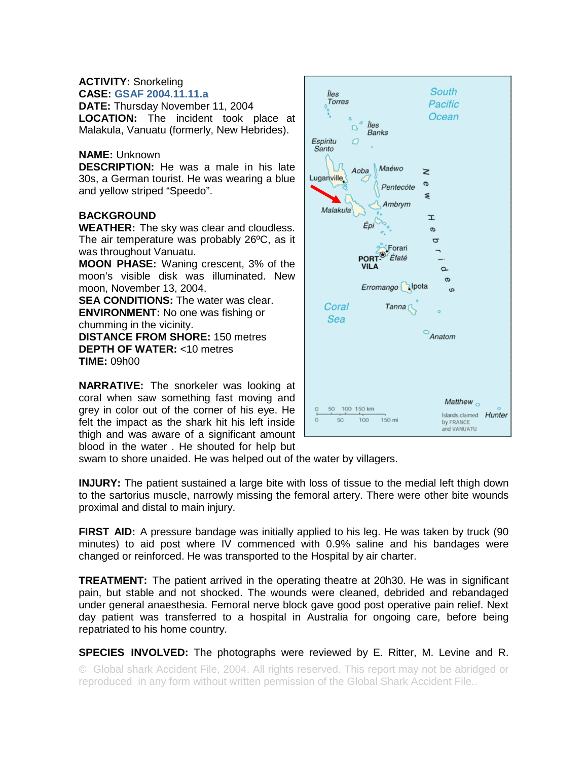## **ACTIVITY:** Snorkeling **CASE: GSAF 2004.11.11.a**

**DATE:** Thursday November 11, 2004 **LOCATION:** The incident took place at Malakula, Vanuatu (formerly, New Hebrides).

## **NAME:** Unknown

**DESCRIPTION:** He was a male in his late 30s, a German tourist. He was wearing a blue and yellow striped "Speedo".

## **BACKGROUND**

**WEATHER:** The sky was clear and cloudless. The air temperature was probably 26ºC, as it was throughout Vanuatu.

**MOON PHASE:** Waning crescent, 3% of the moon's visible disk was illuminated. New moon, November 13, 2004.

**SEA CONDITIONS:** The water was clear. **ENVIRONMENT:** No one was fishing or chumming in the vicinity.

**DISTANCE FROM SHORE:** 150 metres **DEPTH OF WATER:** <10 metres **TIME:** 09h00

**NARRATIVE:** The snorkeler was looking at coral when saw something fast moving and grey in color out of the corner of his eye. He felt the impact as the shark hit his left inside thigh and was aware of a significant amount blood in the water . He shouted for help but



swam to shore unaided. He was helped out of the water by villagers.

**INJURY:** The patient sustained a large bite with loss of tissue to the medial left thigh down to the sartorius muscle, narrowly missing the femoral artery. There were other bite wounds proximal and distal to main injury.

**FIRST AID:** A pressure bandage was initially applied to his leg. He was taken by truck (90 minutes) to aid post where IV commenced with 0.9% saline and his bandages were changed or reinforced. He was transported to the Hospital by air charter.

**TREATMENT:** The patient arrived in the operating theatre at 20h30. He was in significant pain, but stable and not shocked. The wounds were cleaned, debrided and rebandaged under general anaesthesia. Femoral nerve block gave good post operative pain relief. Next day patient was transferred to a hospital in Australia for ongoing care, before being repatriated to his home country.

**SPECIES INVOLVED:** The photographs were reviewed by E. Ritter, M. Levine and R.

© Global shark Accident File, 2004. All rights reserved. This report may not be abridged or reproduced in any form without written permission of the Global Shark Accident File..